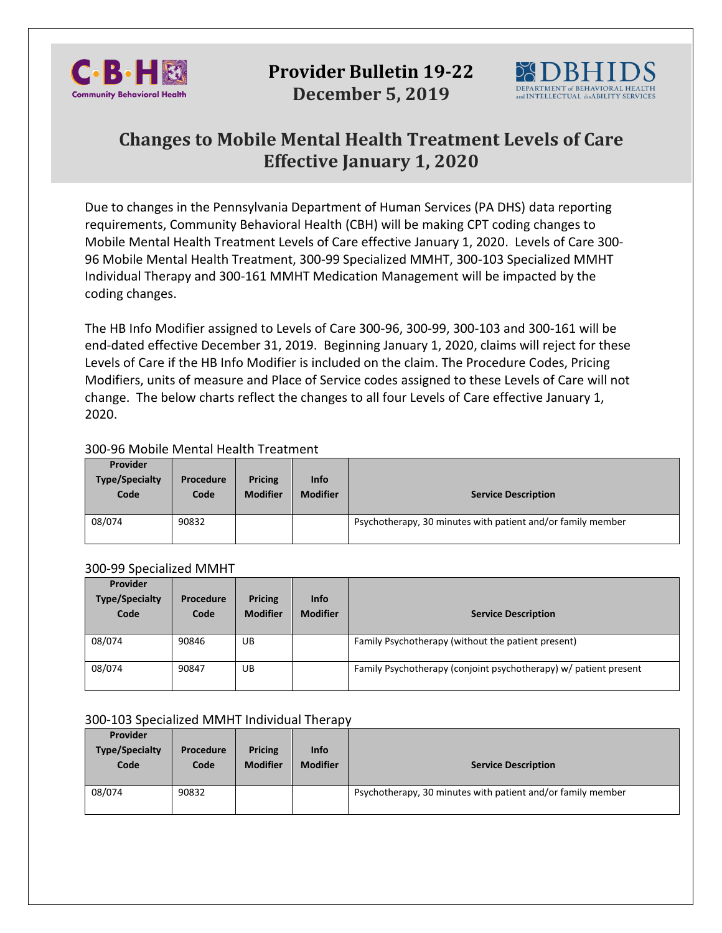

# **Provider Bulletin 19-22 December 5, 2019**



# **Changes to Mobile Mental Health Treatment Levels of Care Effective January 1, 2020**

Due to changes in the Pennsylvania Department of Human Services (PA DHS) data reporting requirements, Community Behavioral Health (CBH) will be making CPT coding changes to Mobile Mental Health Treatment Levels of Care effective January 1, 2020. Levels of Care 300- 96 Mobile Mental Health Treatment, 300-99 Specialized MMHT, 300-103 Specialized MMHT Individual Therapy and 300-161 MMHT Medication Management will be impacted by the coding changes.

The HB Info Modifier assigned to Levels of Care 300-96, 300-99, 300-103 and 300-161 will be end-dated effective December 31, 2019. Beginning January 1, 2020, claims will reject for these Levels of Care if the HB Info Modifier is included on the claim. The Procedure Codes, Pricing Modifiers, units of measure and Place of Service codes assigned to these Levels of Care will not change. The below charts reflect the changes to all four Levels of Care effective January 1, 2020.

## 300-96 Mobile Mental Health Treatment

| <b>Provider</b><br><b>Type/Specialty</b><br>Code | Procedure<br>Code | <b>Pricing</b><br><b>Modifier</b> | <b>Info</b><br><b>Modifier</b> | <b>Service Description</b>                                  |
|--------------------------------------------------|-------------------|-----------------------------------|--------------------------------|-------------------------------------------------------------|
| 08/074                                           | 90832             |                                   |                                | Psychotherapy, 30 minutes with patient and/or family member |

### 300-99 Specialized MMHT

| Provider<br><b>Type/Specialty</b><br>Code | Procedure<br>Code | <b>Pricing</b><br><b>Modifier</b> | <b>Info</b><br><b>Modifier</b> | <b>Service Description</b>                                       |
|-------------------------------------------|-------------------|-----------------------------------|--------------------------------|------------------------------------------------------------------|
| 08/074                                    | 90846             | UB                                |                                | Family Psychotherapy (without the patient present)               |
| 08/074                                    | 90847             | UB                                |                                | Family Psychotherapy (conjoint psychotherapy) w/ patient present |

### 300-103 Specialized MMHT Individual Therapy

| Provider<br><b>Type/Specialty</b><br>Code | Procedure<br>Code | Pricing<br><b>Modifier</b> | <b>Info</b><br><b>Modifier</b> | <b>Service Description</b>                                  |
|-------------------------------------------|-------------------|----------------------------|--------------------------------|-------------------------------------------------------------|
| 08/074                                    | 90832             |                            |                                | Psychotherapy, 30 minutes with patient and/or family member |